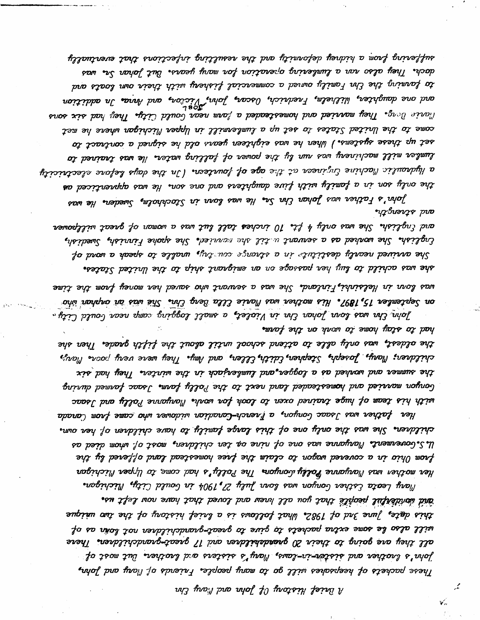h isicef History Of John and Pay Ein

يمر

ัั∕…

Mary Leota Esther Gonyon was lovn July 27,1904 in Gould City, Michigan. and wonderful people that you all knew and loved that have now left us. this date, June 3nd of 1982. What follows is a lrief history of the two wicque will also le some extra packets to give to great-grandchildren not loñn as of all they are going to their 20 granderildren and 17 great-grandchildren. There John's lrother and sister-in-laws, Mary's sisters and lrother. But most of hese packets of heepsakes will go to many people. Friends of Mary and John,

with his team of huge trained oxen to look for work. Maryoure Polly and Jsaac Her father was Jsaac Gonyon, a French-Canadian widower who came from Canada children. She was the only one of this large family to have children of her own.  $u$  s. Governents Maryarre was one of nine or ten children, most of whom died as prom  $0$ hio in a covered wagon to claim the free homestead land offered by the Her mother was Maryanne Polly Lonyon. The Polly's had come to Upper Michigan

had to stay home to work on the farm. the oldest, was only alle to attend school wrtil alout the fifth grade. Then she childrer; Mary, Joseph, Stephen,Edith,Ellen, and him. They were very poins Mary, the summer and worked as a logger.and lumlerjack in the winter. They had six Gonyon manried and hamesteaded land next to the Polly farm. Isac farmed during

was low in Helsinki, Finland. She was a servant who saved her money from the time on Septemler 15,1897. His mother was Marie Clla Berg Chr. She was an orgshan who אסאר צאט מסער מעלן מיט דער מיטרנג פון און די דער אין דער דער אין דער אין זי דער דער דער דער דער די דער די דער

and strength. and English. She was only 4 ft. 10 inches tall but was a woman of great willpower Crglish. She worked as a servant with she menuied. She spoke Finnish, Swedish, She avvived nearly destitute in a strange courty, unalle to speak a word of she was achild to luy her passage on an emigrant ship to the United States.

suffering from a bidney deformity and the resulting infections that eventually dock. They also rar a lumlering operation for mary years. But Jahan Sr. was to farming the  $t$ hr  $\bar{t}$ amily owned a commercial fishery with their own loats and and one daughter, liilhelm, Fnednich, Oscar, John, Vicïon, and Avna, In addition<br>and one daughter, liilhelm, Fnednich, Oscar, John, Vicïon, and Avna, In addition **mat is the They mavied and homesteaded a farm near Gould City. They had six sons** come to the United States to set up a lumbermill in Upper Michigan where he met set up these systems.) When he was eighteen years old he signed a contract to lumber mill machineny was nun ly the power of falling water. He was trained to a الydraulis Machine Grçineer at the age of fourteen. (In the days lefone alectricity the only son in a family with five daughters and one son. He was apprenticed as John's Father was Johan Chn Sr. He was loon in Stockholm, Sweder. He was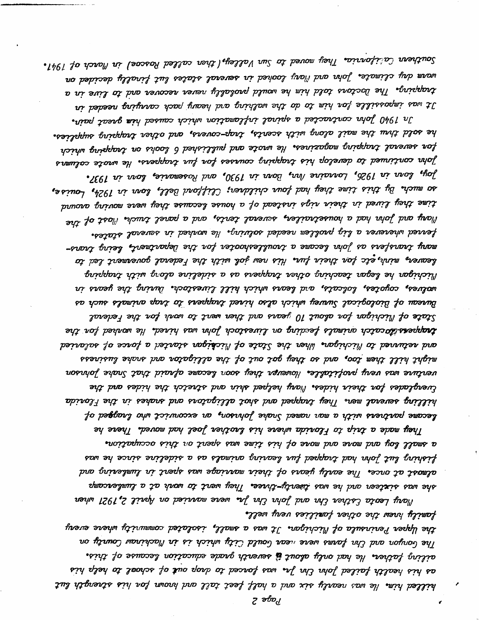$\bullet$  Southern Cabifonria. They moved to Sun Valley,(then called Roscoe) in March of 1941. warm dry climate. John and Mary looked in several states lut finally decided on trapping. The Doctons told him he would prolably never recover and to live in a It was inpossible for him to do the walking ard heary pack carrying needed in In 1940 John contracted a spiral inflamation which caused him great pain.

he sold thus the mail along with scents, trap-covers, ard other trapping supplies. for several trapping magazines. He wrote and pullished 6 looks on trapping which john continued to develop his trapping courses for fur trappers. He wate columis  $\sim$  Joy, lone in 1926, Lonaine Nrı, Bonı in 1930, ard Rosemarie, lonı in 1937, so much. By this time they had four children; Clifford Bell, low in  $1924$ , Louise, time they lived in their rigs instead of a house lecause they were moving around Mory and John had a housetrailer, screral terits, and a parel truck. Nost of the ferred wherever a lig prollem needed solving. He worked in several states. many trans as john lecare a traditeshooter for the Department, being transleaver, mint, etc for their fur. His new jol with the Federal governent led to Michipat hiw prolo sailedie o so sieppot noito princest apel with trapping walves, coyotes, loicats, ard leans which hill livestoch. Wuing the years in Bureau of Biological Survey which also hired trappers to trap animals such as thes of Michigan for alout  $10$  years and then went to work for the Federal **trappers** itoratch animals feeding on livestock John was hired. He worked for the and returned to Michigan. When the State of Michigan started a force of salaried might hill then too, and so they got out of the alligator and snake lusiness vorinhof sirat that the hourse hourse they soon became afraid that Snake forwar tverglades for their hides. Mory helped skin and stretch the hides and the hilling several men. They trapped and shot alligators and snakes in the Florida le begane partrers with a man named Snake Johnson, an exconvict who lnagged of They made a trip to Flonida where his lrother Joel had moved. There he

a small boy and mone and mone of his time was spent on this occupation. fishing lut john had trapped fur leaving animals as a sideline since he was almost at once. The early years of their marriage was spent in lumlering and she was sixteen and he was thenty-three. They went to work at a lumbercamp Mary Leota Esther thr and John thr yr were married on Asril 2,1921 when

family brew the other fanilies very well. the Upper Peninsula of Michigan. It was a small, isolated community where every المع لحمسهمه هنظ کله fari were wear تعمد لصندلط کنتها شامنده نده نه المحافنتمس کمستهد مه مذلذمه father. He had only alout **is** seventh grade education lecause of this. as his health failed John Chr Ja. was forced to drop ou**t** of school to help his لمنللعط لننس الع سعه nearly six and a half feet tall and brown for his strength lut

7 ခဂ္ဍာ/